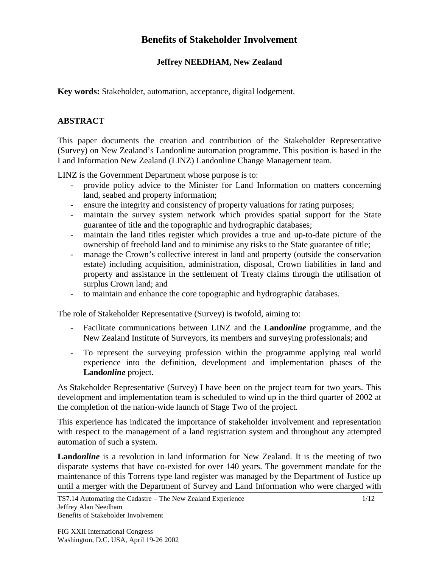## **Benefits of Stakeholder Involvement**

## **Jeffrey NEEDHAM, New Zealand**

**Key words:** Stakeholder, automation, acceptance, digital lodgement.

## **ABSTRACT**

This paper documents the creation and contribution of the Stakeholder Representative (Survey) on New Zealand's Landonline automation programme. This position is based in the Land Information New Zealand (LINZ) Landonline Change Management team.

LINZ is the Government Department whose purpose is to:

- provide policy advice to the Minister for Land Information on matters concerning land, seabed and property information;
- ensure the integrity and consistency of property valuations for rating purposes;
- maintain the survey system network which provides spatial support for the State guarantee of title and the topographic and hydrographic databases;
- maintain the land titles register which provides a true and up-to-date picture of the ownership of freehold land and to minimise any risks to the State guarantee of title;
- manage the Crown's collective interest in land and property (outside the conservation estate) including acquisition, administration, disposal, Crown liabilities in land and property and assistance in the settlement of Treaty claims through the utilisation of surplus Crown land; and
- to maintain and enhance the core topographic and hydrographic databases.

The role of Stakeholder Representative (Survey) is twofold, aiming to:

- Facilitate communications between LINZ and the **Land***online* programme, and the New Zealand Institute of Surveyors, its members and surveying professionals; and
- To represent the surveying profession within the programme applying real world experience into the definition, development and implementation phases of the **Land***online* project.

As Stakeholder Representative (Survey) I have been on the project team for two years. This development and implementation team is scheduled to wind up in the third quarter of 2002 at the completion of the nation-wide launch of Stage Two of the project.

This experience has indicated the importance of stakeholder involvement and representation with respect to the management of a land registration system and throughout any attempted automation of such a system.

**Landonline** is a revolution in land information for New Zealand. It is the meeting of two disparate systems that have co-existed for over 140 years. The government mandate for the maintenance of this Torrens type land register was managed by the Department of Justice up until a merger with the Department of Survey and Land Information who were charged with